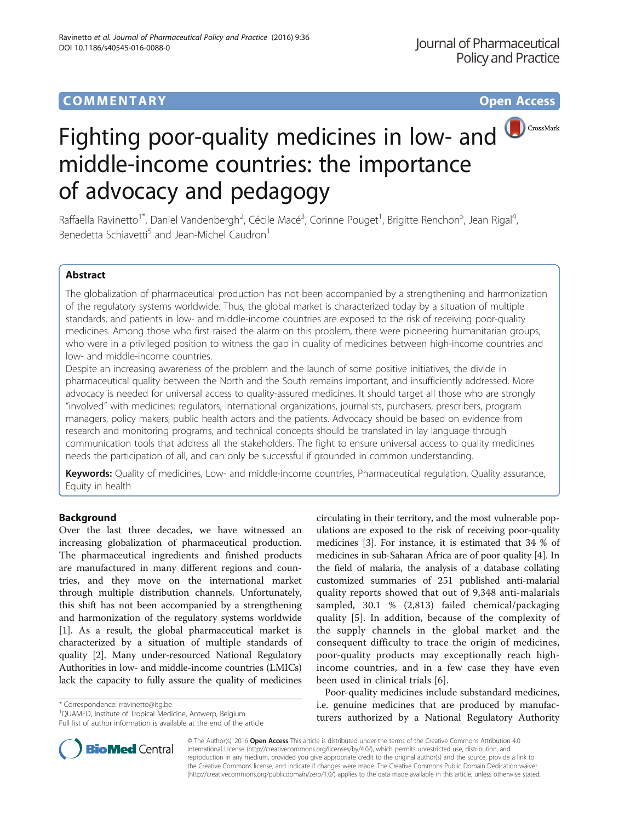# **COMMENTARY COMMENTARY Open Access**



# Fighting poor-quality medicines in low- and middle-income countries: the importance of advocacy and pedagogy

Raffaella Ravinetto<sup>1\*</sup>, Daniel Vandenbergh<sup>2</sup>, Cécile Macé<sup>3</sup>, Corinne Pouget<sup>1</sup>, Brigitte Renchon<sup>5</sup>, Jean Rigal<sup>4</sup> , Benedetta Schiavetti<sup>5</sup> and Jean-Michel Caudron<sup>1</sup>

## Abstract

The globalization of pharmaceutical production has not been accompanied by a strengthening and harmonization of the regulatory systems worldwide. Thus, the global market is characterized today by a situation of multiple standards, and patients in low- and middle-income countries are exposed to the risk of receiving poor-quality medicines. Among those who first raised the alarm on this problem, there were pioneering humanitarian groups, who were in a privileged position to witness the gap in quality of medicines between high-income countries and low- and middle-income countries.

Despite an increasing awareness of the problem and the launch of some positive initiatives, the divide in pharmaceutical quality between the North and the South remains important, and insufficiently addressed. More advocacy is needed for universal access to quality-assured medicines. It should target all those who are strongly "involved" with medicines: regulators, international organizations, journalists, purchasers, prescribers, program managers, policy makers, public health actors and the patients. Advocacy should be based on evidence from research and monitoring programs, and technical concepts should be translated in lay language through communication tools that address all the stakeholders. The fight to ensure universal access to quality medicines needs the participation of all, and can only be successful if grounded in common understanding.

Keywords: Quality of medicines, Low- and middle-income countries, Pharmaceutical regulation, Quality assurance, Equity in health

## **Background**

Over the last three decades, we have witnessed an increasing globalization of pharmaceutical production. The pharmaceutical ingredients and finished products are manufactured in many different regions and countries, and they move on the international market through multiple distribution channels. Unfortunately, this shift has not been accompanied by a strengthening and harmonization of the regulatory systems worldwide [[1\]](#page-2-0). As a result, the global pharmaceutical market is characterized by a situation of multiple standards of quality [\[2](#page-2-0)]. Many under-resourced National Regulatory Authorities in low- and middle-income countries (LMICs) lack the capacity to fully assure the quality of medicines

\* Correspondence: [rravinetto@itg.be](mailto:rravinetto@itg.be) <sup>1</sup>

<sup>1</sup>QUAMED, Institute of Tropical Medicine, Antwerp, Belgium Full list of author information is available at the end of the article circulating in their territory, and the most vulnerable populations are exposed to the risk of receiving poor-quality medicines [\[3](#page-2-0)]. For instance, it is estimated that 34 % of medicines in sub-Saharan Africa are of poor quality [\[4](#page-3-0)]. In the field of malaria, the analysis of a database collating customized summaries of 251 published anti-malarial quality reports showed that out of 9,348 anti-malarials sampled, 30.1 % (2,813) failed chemical/packaging quality [\[5](#page-3-0)]. In addition, because of the complexity of the supply channels in the global market and the consequent difficulty to trace the origin of medicines, poor-quality products may exceptionally reach highincome countries, and in a few case they have even been used in clinical trials [\[6](#page-3-0)].

Poor-quality medicines include substandard medicines, i.e. genuine medicines that are produced by manufacturers authorized by a National Regulatory Authority



© The Author(s). 2016 Open Access This article is distributed under the terms of the Creative Commons Attribution 4.0 International License [\(http://creativecommons.org/licenses/by/4.0/](http://creativecommons.org/licenses/by/4.0/)), which permits unrestricted use, distribution, and reproduction in any medium, provided you give appropriate credit to the original author(s) and the source, provide a link to the Creative Commons license, and indicate if changes were made. The Creative Commons Public Domain Dedication waiver [\(http://creativecommons.org/publicdomain/zero/1.0/](http://creativecommons.org/publicdomain/zero/1.0/)) applies to the data made available in this article, unless otherwise stated.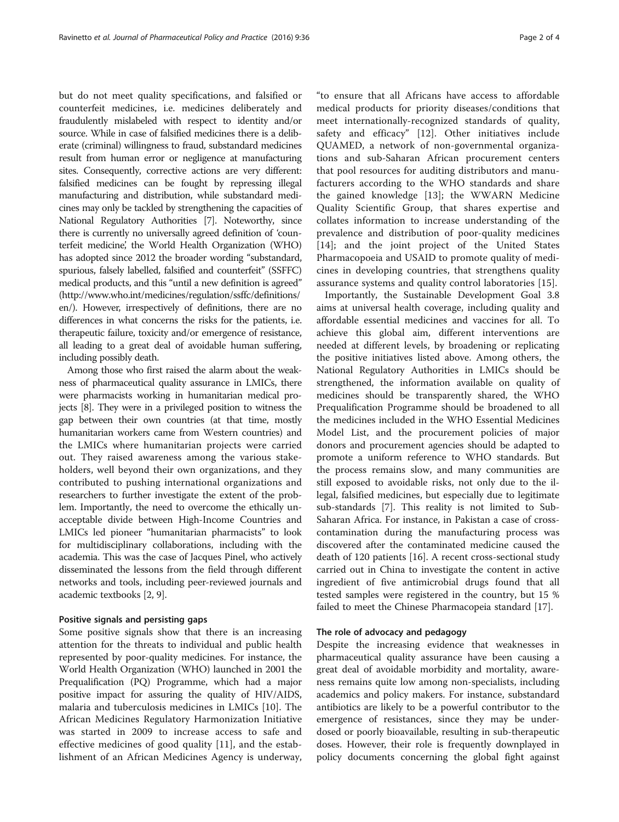but do not meet quality specifications, and falsified or counterfeit medicines, i.e. medicines deliberately and fraudulently mislabeled with respect to identity and/or source. While in case of falsified medicines there is a deliberate (criminal) willingness to fraud, substandard medicines result from human error or negligence at manufacturing sites. Consequently, corrective actions are very different: falsified medicines can be fought by repressing illegal manufacturing and distribution, while substandard medicines may only be tackled by strengthening the capacities of National Regulatory Authorities [\[7\]](#page-3-0). Noteworthy, since there is currently no universally agreed definition of 'counterfeit medicine, the World Health Organization (WHO) has adopted since 2012 the broader wording "substandard, spurious, falsely labelled, falsified and counterfeit" (SSFFC) medical products, and this "until a new definition is agreed" ([http://www.who.int/medicines/regulation/ssffc/definitions/](http://www.who.int/medicines/regulation/ssffc/definitions/en/) [en/\)](http://www.who.int/medicines/regulation/ssffc/definitions/en/). However, irrespectively of definitions, there are no differences in what concerns the risks for the patients, i.e. therapeutic failure, toxicity and/or emergence of resistance, all leading to a great deal of avoidable human suffering, including possibly death.

Among those who first raised the alarm about the weakness of pharmaceutical quality assurance in LMICs, there were pharmacists working in humanitarian medical projects [[8](#page-3-0)]. They were in a privileged position to witness the gap between their own countries (at that time, mostly humanitarian workers came from Western countries) and the LMICs where humanitarian projects were carried out. They raised awareness among the various stakeholders, well beyond their own organizations, and they contributed to pushing international organizations and researchers to further investigate the extent of the problem. Importantly, the need to overcome the ethically unacceptable divide between High-Income Countries and LMICs led pioneer "humanitarian pharmacists" to look for multidisciplinary collaborations, including with the academia. This was the case of Jacques Pinel, who actively disseminated the lessons from the field through different networks and tools, including peer-reviewed journals and academic textbooks [\[2,](#page-2-0) [9](#page-3-0)].

## Positive signals and persisting gaps

Some positive signals show that there is an increasing attention for the threats to individual and public health represented by poor-quality medicines. For instance, the World Health Organization (WHO) launched in 2001 the Prequalification (PQ) Programme, which had a major positive impact for assuring the quality of HIV/AIDS, malaria and tuberculosis medicines in LMICs [\[10](#page-3-0)]. The African Medicines Regulatory Harmonization Initiative was started in 2009 to increase access to safe and effective medicines of good quality [[11\]](#page-3-0), and the establishment of an African Medicines Agency is underway, "to ensure that all Africans have access to affordable medical products for priority diseases/conditions that meet internationally-recognized standards of quality, safety and efficacy" [[12\]](#page-3-0). Other initiatives include QUAMED, a network of non-governmental organizations and sub-Saharan African procurement centers that pool resources for auditing distributors and manufacturers according to the WHO standards and share the gained knowledge [[13\]](#page-3-0); the WWARN Medicine Quality Scientific Group, that shares expertise and collates information to increase understanding of the prevalence and distribution of poor-quality medicines [[14](#page-3-0)]; and the joint project of the United States Pharmacopoeia and USAID to promote quality of medicines in developing countries, that strengthens quality assurance systems and quality control laboratories [[15\]](#page-3-0).

Importantly, the Sustainable Development Goal 3.8 aims at universal health coverage, including quality and affordable essential medicines and vaccines for all. To achieve this global aim, different interventions are needed at different levels, by broadening or replicating the positive initiatives listed above. Among others, the National Regulatory Authorities in LMICs should be strengthened, the information available on quality of medicines should be transparently shared, the WHO Prequalification Programme should be broadened to all the medicines included in the WHO Essential Medicines Model List, and the procurement policies of major donors and procurement agencies should be adapted to promote a uniform reference to WHO standards. But the process remains slow, and many communities are still exposed to avoidable risks, not only due to the illegal, falsified medicines, but especially due to legitimate sub-standards [\[7](#page-3-0)]. This reality is not limited to Sub-Saharan Africa. For instance, in Pakistan a case of crosscontamination during the manufacturing process was discovered after the contaminated medicine caused the death of 120 patients [\[16\]](#page-3-0). A recent cross-sectional study carried out in China to investigate the content in active ingredient of five antimicrobial drugs found that all tested samples were registered in the country, but 15 % failed to meet the Chinese Pharmacopeia standard [\[17](#page-3-0)].

## The role of advocacy and pedagogy

Despite the increasing evidence that weaknesses in pharmaceutical quality assurance have been causing a great deal of avoidable morbidity and mortality, awareness remains quite low among non-specialists, including academics and policy makers. For instance, substandard antibiotics are likely to be a powerful contributor to the emergence of resistances, since they may be underdosed or poorly bioavailable, resulting in sub-therapeutic doses. However, their role is frequently downplayed in policy documents concerning the global fight against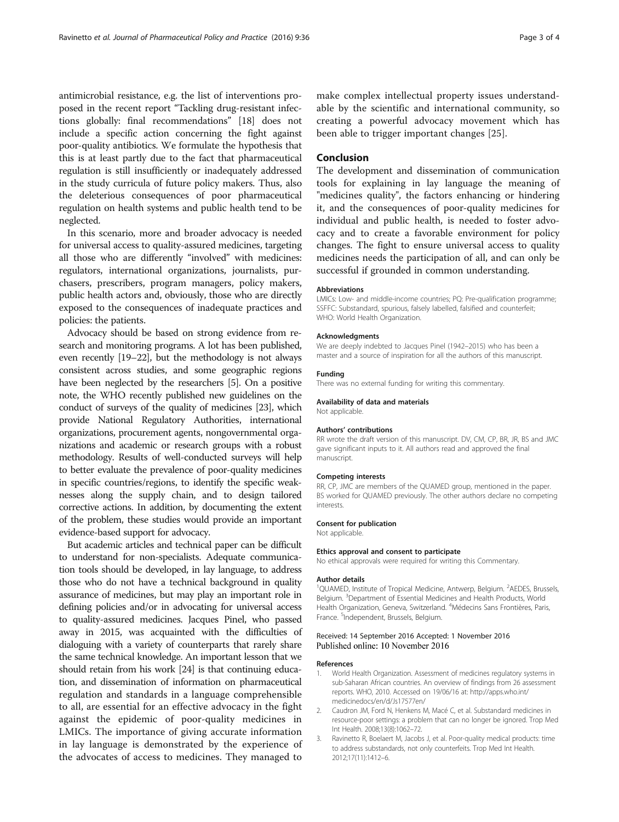<span id="page-2-0"></span>antimicrobial resistance, e.g. the list of interventions proposed in the recent report "Tackling drug-resistant infections globally: final recommendations" [\[18](#page-3-0)] does not include a specific action concerning the fight against poor-quality antibiotics. We formulate the hypothesis that this is at least partly due to the fact that pharmaceutical regulation is still insufficiently or inadequately addressed in the study curricula of future policy makers. Thus, also the deleterious consequences of poor pharmaceutical regulation on health systems and public health tend to be neglected.

In this scenario, more and broader advocacy is needed for universal access to quality-assured medicines, targeting all those who are differently "involved" with medicines: regulators, international organizations, journalists, purchasers, prescribers, program managers, policy makers, public health actors and, obviously, those who are directly exposed to the consequences of inadequate practices and policies: the patients.

Advocacy should be based on strong evidence from research and monitoring programs. A lot has been published, even recently [[19](#page-3-0)–[22](#page-3-0)], but the methodology is not always consistent across studies, and some geographic regions have been neglected by the researchers [\[5\]](#page-3-0). On a positive note, the WHO recently published new guidelines on the conduct of surveys of the quality of medicines [\[23](#page-3-0)], which provide National Regulatory Authorities, international organizations, procurement agents, nongovernmental organizations and academic or research groups with a robust methodology. Results of well-conducted surveys will help to better evaluate the prevalence of poor-quality medicines in specific countries/regions, to identify the specific weaknesses along the supply chain, and to design tailored corrective actions. In addition, by documenting the extent of the problem, these studies would provide an important evidence-based support for advocacy.

But academic articles and technical paper can be difficult to understand for non-specialists. Adequate communication tools should be developed, in lay language, to address those who do not have a technical background in quality assurance of medicines, but may play an important role in defining policies and/or in advocating for universal access to quality-assured medicines. Jacques Pinel, who passed away in 2015, was acquainted with the difficulties of dialoguing with a variety of counterparts that rarely share the same technical knowledge. An important lesson that we should retain from his work [\[24](#page-3-0)] is that continuing education, and dissemination of information on pharmaceutical regulation and standards in a language comprehensible to all, are essential for an effective advocacy in the fight against the epidemic of poor-quality medicines in LMICs. The importance of giving accurate information in lay language is demonstrated by the experience of the advocates of access to medicines. They managed to

make complex intellectual property issues understandable by the scientific and international community, so creating a powerful advocacy movement which has been able to trigger important changes [[25\]](#page-3-0).

## Conclusion

The development and dissemination of communication tools for explaining in lay language the meaning of "medicines quality", the factors enhancing or hindering it, and the consequences of poor-quality medicines for individual and public health, is needed to foster advocacy and to create a favorable environment for policy changes. The fight to ensure universal access to quality medicines needs the participation of all, and can only be successful if grounded in common understanding.

#### Abbreviations

LMICs: Low- and middle-income countries; PQ: Pre-qualification programme; SSFFC: Substandard, spurious, falsely labelled, falsified and counterfeit; WHO: World Health Organization.

#### Acknowledgments

We are deeply indebted to Jacques Pinel (1942–2015) who has been a master and a source of inspiration for all the authors of this manuscript.

#### Funding

There was no external funding for writing this commentary.

## Availability of data and materials

Not applicable.

## Authors' contributions

RR wrote the draft version of this manuscript. DV, CM, CP, BR, JR, BS and JMC gave significant inputs to it. All authors read and approved the final manuscript.

### Competing interests

RR, CP, JMC are members of the QUAMED group, mentioned in the paper. BS worked for QUAMED previously. The other authors declare no competing interests.

#### Consent for publication

Not applicable.

## No ethical approvals were required for writing this Commentary.

Ethics approval and consent to participate

#### Author details

<sup>1</sup>QUAMED, Institute of Tropical Medicine, Antwerp, Belgium. <sup>2</sup>AEDES, Brussels, Belgium. <sup>3</sup>Department of Essential Medicines and Health Products, World Health Organization, Geneva, Switzerland. <sup>4</sup>Médecins Sans Frontières, Paris, France. <sup>5</sup> Independent, Brussels, Belgium.

## Received: 14 September 2016 Accepted: 1 November 2016 Published online: 10 November 2016

### References

- 1. World Health Organization. Assessment of medicines regulatory systems in sub-Saharan African countries. An overview of findings from 26 assessment reports. WHO, 2010. Accessed on 19/06/16 at: [http://apps.who.int/](http://apps.who.int/medicinedocs/en/d/Js17577en/) [medicinedocs/en/d/Js17577en/](http://apps.who.int/medicinedocs/en/d/Js17577en/)
- 2. Caudron JM, Ford N, Henkens M, Macé C, et al. Substandard medicines in resource-poor settings: a problem that can no longer be ignored. Trop Med Int Health. 2008;13(8):1062–72.
- 3. Ravinetto R, Boelaert M, Jacobs J, et al. Poor-quality medical products: time to address substandards, not only counterfeits. Trop Med Int Health. 2012;17(11):1412–6.